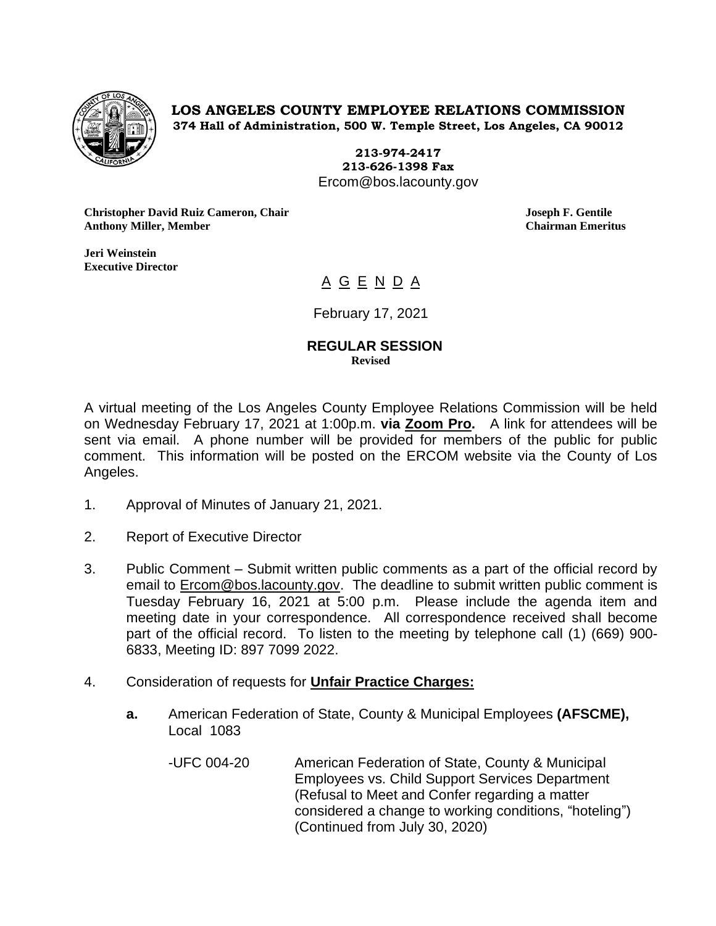

**LOS ANGELES COUNTY EMPLOYEE RELATIONS COMMISSION 374 Hall of Administration, 500 W. Temple Street, Los Angeles, CA 90012**

> **213-974-2417 213-626-1398 Fax** Ercom@bos.lacounty.gov

**Christopher David Ruiz Cameron, Chair Joseph F. Gentile Anthony Miller, Member Chairman Emeritus**

**Jeri Weinstein Executive Director** 

# A G E N D A

February 17, 2021

#### **REGULAR SESSION Revised**

A virtual meeting of the Los Angeles County Employee Relations Commission will be held on Wednesday February 17, 2021 at 1:00p.m. **via Zoom Pro.** A link for attendees will be sent via email. A phone number will be provided for members of the public for public comment. This information will be posted on the ERCOM website via the County of Los Angeles.

- 1. Approval of Minutes of January 21, 2021.
- 2. Report of Executive Director
- 3. Public Comment Submit written public comments as a part of the official record by email to **Ercom@bos.lacounty.gov.** The deadline to submit written public comment is Tuesday February 16, 2021 at 5:00 p.m. Please include the agenda item and meeting date in your correspondence. All correspondence received shall become part of the official record. To listen to the meeting by telephone call (1) (669) 900- 6833, Meeting ID: 897 7099 2022.
- 4. Consideration of requests for **Unfair Practice Charges:**
	- **a.** American Federation of State, County & Municipal Employees **(AFSCME),**  Local 1083
		- -UFC 004-20 American Federation of State, County & Municipal Employees vs. Child Support Services Department (Refusal to Meet and Confer regarding a matter considered a change to working conditions, "hoteling") (Continued from July 30, 2020)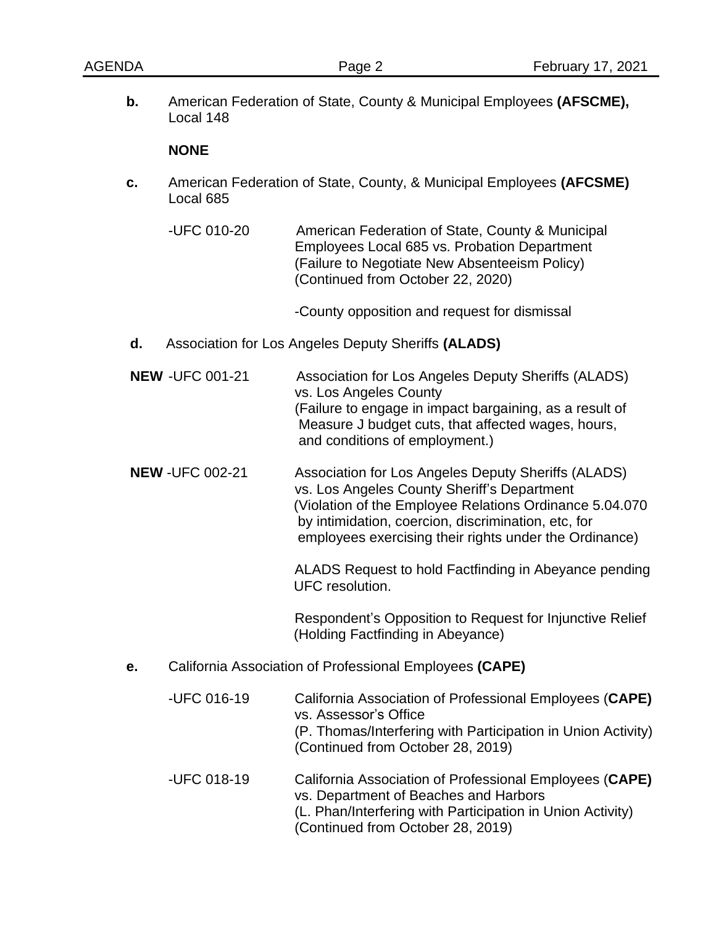**b.** American Federation of State, County & Municipal Employees **(AFSCME),** Local 148

### **NONE**

**c.** American Federation of State, County, & Municipal Employees **(AFCSME)** Local 685

-UFC 010-20 American Federation of State, County & Municipal Employees Local 685 vs. Probation Department (Failure to Negotiate New Absenteeism Policy) (Continued from October 22, 2020)

-County opposition and request for dismissal

- **d.** Association for Los Angeles Deputy Sheriffs **(ALADS)**
- **NEW** -UFC 001-21 Association for Los Angeles Deputy Sheriffs (ALADS) vs. Los Angeles County (Failure to engage in impact bargaining, as a result of Measure J budget cuts, that affected wages, hours, and conditions of employment.)
- **NEW** -UFC 002-21 Association for Los Angeles Deputy Sheriffs (ALADS) vs. Los Angeles County Sheriff's Department (Violation of the Employee Relations Ordinance 5.04.070 by intimidation, coercion, discrimination, etc, for employees exercising their rights under the Ordinance)

ALADS Request to hold Factfinding in Abeyance pending UFC resolution.

Respondent's Opposition to Request for Injunctive Relief (Holding Factfinding in Abeyance)

**e.** California Association of Professional Employees **(CAPE)**

| -UFC 016-19 | California Association of Professional Employees (CAPE)<br>vs. Assessor's Office<br>(P. Thomas/Interfering with Participation in Union Activity)<br>(Continued from October 28, 2019)               |
|-------------|-----------------------------------------------------------------------------------------------------------------------------------------------------------------------------------------------------|
| -UFC 018-19 | California Association of Professional Employees (CAPE)<br>vs. Department of Beaches and Harbors<br>(L. Phan/Interfering with Participation in Union Activity)<br>(Continued from October 28, 2019) |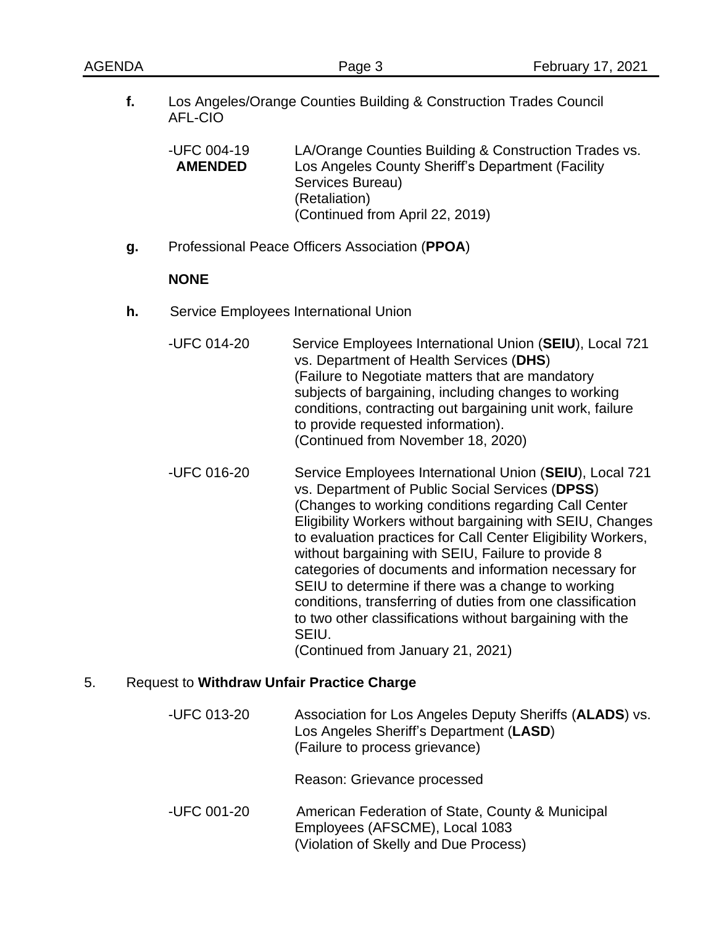| AGENDA                                                  |                                                                                      | Page 3                                                                                                                                                                                                                                                                                                                                                                                                                                               | February 17, 2021                                                                                                                                                                    |  |
|---------------------------------------------------------|--------------------------------------------------------------------------------------|------------------------------------------------------------------------------------------------------------------------------------------------------------------------------------------------------------------------------------------------------------------------------------------------------------------------------------------------------------------------------------------------------------------------------------------------------|--------------------------------------------------------------------------------------------------------------------------------------------------------------------------------------|--|
| f.                                                      | Los Angeles/Orange Counties Building & Construction Trades Council<br><b>AFL-CIO</b> |                                                                                                                                                                                                                                                                                                                                                                                                                                                      |                                                                                                                                                                                      |  |
|                                                         | -UFC 004-19<br><b>AMENDED</b>                                                        | LA/Orange Counties Building & Construction Trades vs.<br>Los Angeles County Sheriff's Department (Facility<br>Services Bureau)<br>(Retaliation)<br>(Continued from April 22, 2019)                                                                                                                                                                                                                                                                   |                                                                                                                                                                                      |  |
| g.                                                      |                                                                                      | Professional Peace Officers Association (PPOA)                                                                                                                                                                                                                                                                                                                                                                                                       |                                                                                                                                                                                      |  |
|                                                         | <b>NONE</b>                                                                          |                                                                                                                                                                                                                                                                                                                                                                                                                                                      |                                                                                                                                                                                      |  |
| h.                                                      |                                                                                      | Service Employees International Union                                                                                                                                                                                                                                                                                                                                                                                                                |                                                                                                                                                                                      |  |
|                                                         | -UFC 014-20                                                                          | vs. Department of Health Services (DHS)<br>(Failure to Negotiate matters that are mandatory<br>subjects of bargaining, including changes to working<br>conditions, contracting out bargaining unit work, failure<br>to provide requested information).<br>(Continued from November 18, 2020)                                                                                                                                                         | Service Employees International Union (SEIU), Local 721                                                                                                                              |  |
|                                                         | -UFC 016-20                                                                          | vs. Department of Public Social Services (DPSS)<br>(Changes to working conditions regarding Call Center<br>without bargaining with SEIU, Failure to provide 8<br>categories of documents and information necessary for<br>SEIU to determine if there was a change to working<br>conditions, transferring of duties from one classification<br>to two other classifications without bargaining with the<br>SEIU.<br>(Continued from January 21, 2021) | Service Employees International Union (SEIU), Local 721<br>Eligibility Workers without bargaining with SEIU, Changes<br>to evaluation practices for Call Center Eligibility Workers, |  |
| 5.<br><b>Request to Withdraw Unfair Practice Charge</b> |                                                                                      |                                                                                                                                                                                                                                                                                                                                                                                                                                                      |                                                                                                                                                                                      |  |
|                                                         | -UFC 013-20                                                                          | Los Angeles Sheriff's Department (LASD)<br>(Failure to process grievance)                                                                                                                                                                                                                                                                                                                                                                            | Association for Los Angeles Deputy Sheriffs (ALADS) vs.                                                                                                                              |  |

Reason: Grievance processed

-UFC 001-20 American Federation of State, County & Municipal Employees (AFSCME), Local 1083 (Violation of Skelly and Due Process)